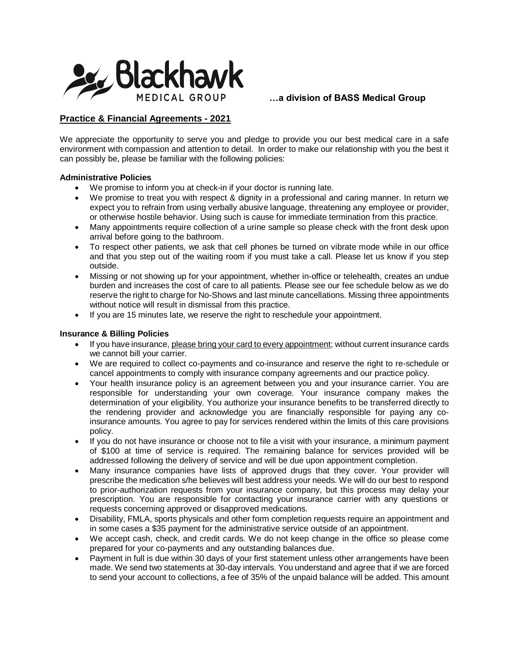

# **Practice & Financial Agreements - 2021**

We appreciate the opportunity to serve you and pledge to provide you our best medical care in a safe environment with compassion and attention to detail. In order to make our relationship with you the best it can possibly be, please be familiar with the following policies:

#### **Administrative Policies**

- We promise to inform you at check-in if your doctor is running late.
- We promise to treat you with respect & dignity in a professional and caring manner. In return we expect you to refrain from using verbally abusive language, threatening any employee or provider, or otherwise hostile behavior. Using such is cause for immediate termination from this practice.
- Many appointments require collection of a urine sample so please check with the front desk upon arrival before going to the bathroom.
- To respect other patients, we ask that cell phones be turned on vibrate mode while in our office and that you step out of the waiting room if you must take a call. Please let us know if you step outside.
- Missing or not showing up for your appointment, whether in-office or telehealth, creates an undue burden and increases the cost of care to all patients. Please see our fee schedule below as we do reserve the right to charge for No-Shows and last minute cancellations. Missing three appointments without notice will result in dismissal from this practice.
- If you are 15 minutes late, we reserve the right to reschedule your appointment.

#### **Insurance & Billing Policies**

- If you have insurance, please bring your card to every appointment; without current insurance cards we cannot bill your carrier.
- We are required to collect co-payments and co-insurance and reserve the right to re-schedule or cancel appointments to comply with insurance company agreements and our practice policy.
- Your health insurance policy is an agreement between you and your insurance carrier. You are responsible for understanding your own coverage. Your insurance company makes the determination of your eligibility. You authorize your insurance benefits to be transferred directly to the rendering provider and acknowledge you are financially responsible for paying any coinsurance amounts. You agree to pay for services rendered within the limits of this care provisions policy.
- If you do not have insurance or choose not to file a visit with your insurance, a minimum payment of \$100 at time of service is required. The remaining balance for services provided will be addressed following the delivery of service and will be due upon appointment completion.
- Many insurance companies have lists of approved drugs that they cover. Your provider will prescribe the medication s/he believes will best address your needs. We will do our best to respond to prior-authorization requests from your insurance company, but this process may delay your prescription. You are responsible for contacting your insurance carrier with any questions or requests concerning approved or disapproved medications.
- Disability, FMLA, sports physicals and other form completion requests require an appointment and in some cases a \$35 payment for the administrative service outside of an appointment.
- We accept cash, check, and credit cards. We do not keep change in the office so please come prepared for your co-payments and any outstanding balances due.
- Payment in full is due within 30 days of your first statement unless other arrangements have been made. We send two statements at 30-day intervals. You understand and agree that if we are forced to send your account to collections, a fee of 35% of the unpaid balance will be added. This amount